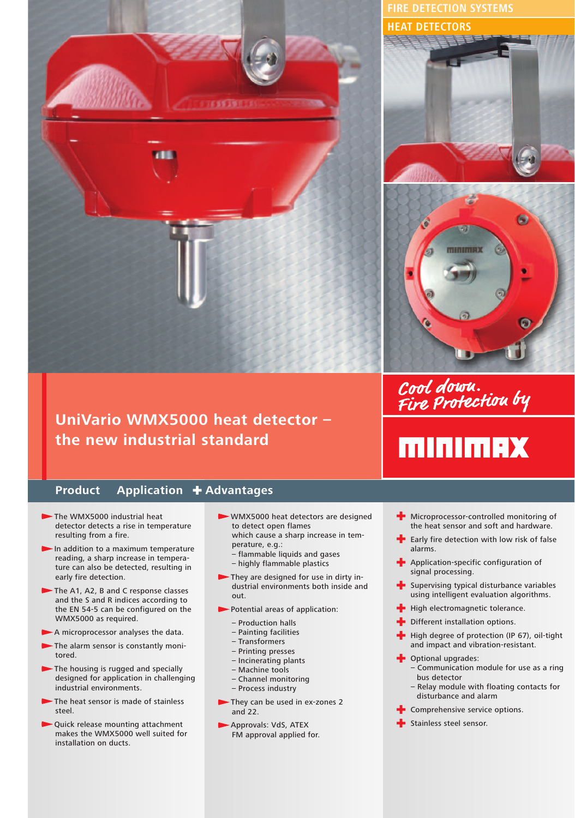

# **UniVario WMX5000 heat detector – the new industrial standard**

### **Product Application + Advantages**

- The WMX5000 industrial heat detector detects a rise in temperature resulting from a fire.
- $\blacktriangleright$  In addition to a maximum temperature reading, a sharp increase in temperature can also be detected, resulting in early fire detection.
- The A1, A2, B and C response classes and the S and R indices according to the EN 54-5 can be configured on the WMX5000 as required.
- A microprocessor analyses the data.
- The alarm sensor is constantly monitored.
- The housing is rugged and specially designed for application in challenging industrial environments.
- The heat sensor is made of stainless steel.
- Quick release mounting attachment makes the WMX5000 well suited for installation on ducts.
- WMX5000 heat detectors are designed to detect open flames which cause a sharp increase in tem
	- perature, e.g.:
- flammable liquids and gases
- highly flammable plastics
- They are designed for use in dirty industrial environments both inside and out.
- Potential areas of application:
	- Production halls
	- Painting facilities
	- Transformers
	- Printing presses
	- Incinerating plants
	- Machine tools
	- Channel monitoring
	- Process industry
- They can be used in ex-zones 2 and 22.
- Approvals: VdS, ATEX FM approval applied for.

**FIRE DETECTION SYSTEMS HEAT DETECTORS**





# Cool down.<br>Fire Protection by

**MINIMAX** 

- $+$  Microprocessor-controlled monitoring of the heat sensor and soft and hardware.
- $\blacktriangleright$  Early fire detection with low risk of false alarms.
- **+** Application-specific configuration of signal processing.
- **Supervising typical disturbance variables** using intelligent evaluation algorithms.
- $\blacktriangleright$  High electromagnetic tolerance.
- Different installation options.
- High degree of protection (IP 67), oil-tight and impact and vibration-resistant.
- **+** Optional upgrades:
	- Communication module for use as a ring bus detector
	- Relay module with floating contacts for disturbance and alarm
- **-** Comprehensive service options.
- **E** Stainless steel sensor.